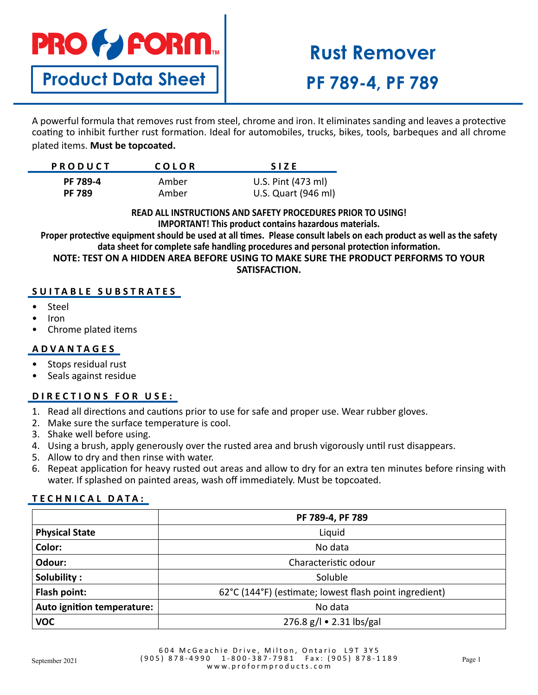# **PRO & FORM.**

## **Product Data Sheet**

# **Rust Remover PF 789-4, PF 789**

A powerful formula that removes rust from steel, chrome and iron. It eliminates sanding and leaves a protective coating to inhibit further rust formation. Ideal for automobiles, trucks, bikes, tools, barbeques and all chrome plated items. **Must be topcoated.**

| <b>PRODUCT</b>  | COLOR | <b>SIZE</b>         |
|-----------------|-------|---------------------|
| <b>PF 789-4</b> | Amber | U.S. Pint (473 ml)  |
| <b>PF 789</b>   | Amber | U.S. Quart (946 ml) |

**READ ALL INSTRUCTIONS AND SAFETY PROCEDURES PRIOR TO USING! IMPORTANT! This product contains hazardous materials.**

**Proper protective equipment should be used at all times. Please consult labels on each product as well as the safety data sheet for complete safe handling procedures and personal protection information.**

**NOTE: TEST ON A HIDDEN AREA BEFORE USING TO MAKE SURE THE PRODUCT PERFORMS TO YOUR SATISFACTION.**

### **SUITABLE SUBSTRATES**

- Steel
- Iron
- Chrome plated items

### **ADVANTAGES**

- Stops residual rust
- Seals against residue

### **DIRECTIONS FOR USE:**

- 1. Read all directions and cautions prior to use for safe and proper use. Wear rubber gloves.
- 2. Make sure the surface temperature is cool.
- 3. Shake well before using.
- 4. Using a brush, apply generously over the rusted area and brush vigorously until rust disappears.
- 5. Allow to dry and then rinse with water.
- 6. Repeat application for heavy rusted out areas and allow to dry for an extra ten minutes before rinsing with water. If splashed on painted areas, wash off immediately. Must be topcoated.

### **TECHNICAL DATA:**

|                            | PF 789-4, PF 789                                       |  |
|----------------------------|--------------------------------------------------------|--|
| <b>Physical State</b>      | Liquid                                                 |  |
| Color:                     | No data                                                |  |
| Odour:                     | Characteristic odour                                   |  |
| Solubility:                | Soluble                                                |  |
| Flash point:               | 62°C (144°F) (estimate; lowest flash point ingredient) |  |
| Auto ignition temperature: | No data                                                |  |
| <b>VOC</b>                 | 276.8 g/l • 2.31 lbs/gal                               |  |